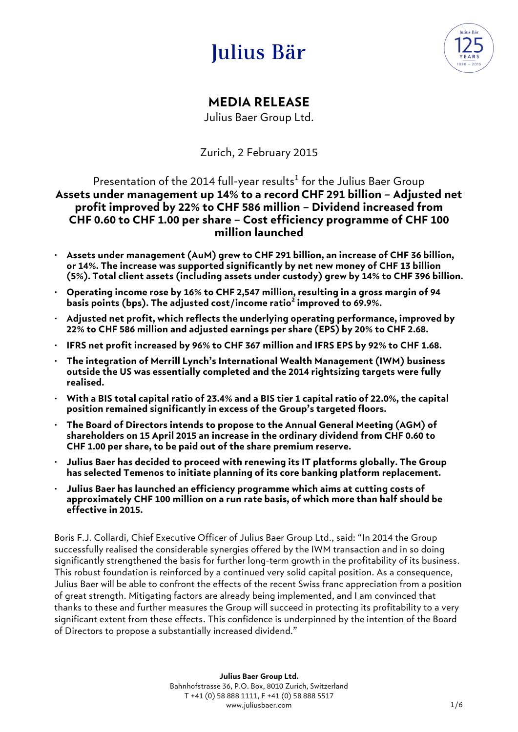# Julius Bär



# **MEDIA RELEASE**

Julius Baer Group Ltd.

Zurich, 2 February 2015

### Presentation of the 2014 full-year results $^1$  for the Julius Baer Group **Assets under management up 14% to a record CHF 291 billion – Adjusted net profit improved by 22% to CHF 586 million – Dividend increased from CHF 0.60 to CHF 1.00 per share – Cost efficiency programme of CHF 100 million launched**

- **Assets under management (AuM) grew to CHF 291 billion, an increase of CHF 36 billion, or 14%. The increase was supported significantly by net new money of CHF 13 billion (5%). Total client assets (including assets under custody) grew by 14% to CHF 396 billion.**
- **Operating income rose by 16% to CHF 2,547 million, resulting in a gross margin of 94 basis points (bps). The adjusted cost/income ratio<sup>2</sup> improved to 69.9%.**
- **Adjusted net profit, which reflects the underlying operating performance, improved by 22% to CHF 586 million and adjusted earnings per share (EPS) by 20% to CHF 2.68.**
- **IFRS net profit increased by 96% to CHF 367 million and IFRS EPS by 92% to CHF 1.68.**
- **The integration of Merrill Lynch's International Wealth Management (IWM) business outside the US was essentially completed and the 2014 rightsizing targets were fully realised.**
- **With a BIS total capital ratio of 23.4% and a BIS tier 1 capital ratio of 22.0%, the capital position remained significantly in excess of the Group's targeted floors.**
- **The Board of Directors intends to propose to the Annual General Meeting (AGM) of shareholders on 15 April 2015 an increase in the ordinary dividend from CHF 0.60 to CHF 1.00 per share, to be paid out of the share premium reserve.**
- **Julius Baer has decided to proceed with renewing its IT platforms globally. The Group has selected Temenos to initiate planning of its core banking platform replacement.**
- **Julius Baer has launched an efficiency programme which aims at cutting costs of approximately CHF 100 million on a run rate basis, of which more than half should be effective in 2015.**

Boris F.J. Collardi, Chief Executive Officer of Julius Baer Group Ltd., said: "In 2014 the Group successfully realised the considerable synergies offered by the IWM transaction and in so doing significantly strengthened the basis for further long-term growth in the profitability of its business. This robust foundation is reinforced by a continued very solid capital position. As a consequence, Julius Baer will be able to confront the effects of the recent Swiss franc appreciation from a position of great strength. Mitigating factors are already being implemented, and I am convinced that thanks to these and further measures the Group will succeed in protecting its profitability to a very significant extent from these effects. This confidence is underpinned by the intention of the Board of Directors to propose a substantially increased dividend."

> **Julius Baer Group Ltd.** Bahnhofstrasse 36, P.O. Box, 8010 Zurich, Switzerland T +41 (0) 58 888 1111, F +41 (0) 58 888 5517 www.juliusbaer.com and the state of the state of the state of the state of the state of the state of the state of the state of the state of the state of the state of the state of the state of the state of the state of the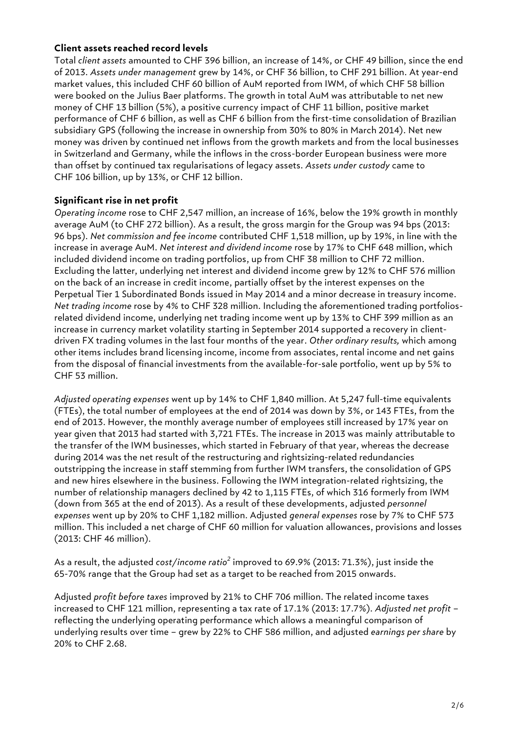#### **Client assets reached record levels**

Total *client assets* amounted to CHF 396 billion, an increase of 14%, or CHF 49 billion, since the end of 2013. *Assets under management* grew by 14%, or CHF 36 billion, to CHF 291 billion. At year-end market values, this included CHF 60 billion of AuM reported from IWM, of which CHF 58 billion were booked on the Julius Baer platforms. The growth in total AuM was attributable to net new money of CHF 13 billion (5%), a positive currency impact of CHF 11 billion, positive market performance of CHF 6 billion, as well as CHF 6 billion from the first-time consolidation of Brazilian subsidiary GPS (following the increase in ownership from 30% to 80% in March 2014). Net new money was driven by continued net inflows from the growth markets and from the local businesses in Switzerland and Germany, while the inflows in the cross-border European business were more than offset by continued tax regularisations of legacy assets. *Assets under custody* came to CHF 106 billion, up by 13%, or CHF 12 billion.

#### **Significant rise in net profit**

*Operating income* rose to CHF 2,547 million, an increase of 16%, below the 19% growth in monthly average AuM (to CHF 272 billion). As a result, the gross margin for the Group was 94 bps (2013: 96 bps). *Net commission and fee income* contributed CHF 1,518 million, up by 19%, in line with the increase in average AuM. *Net interest and dividend income* rose by 17% to CHF 648 million, which included dividend income on trading portfolios, up from CHF 38 million to CHF 72 million. Excluding the latter, underlying net interest and dividend income grew by 12% to CHF 576 million on the back of an increase in credit income, partially offset by the interest expenses on the Perpetual Tier 1 Subordinated Bonds issued in May 2014 and a minor decrease in treasury income. *Net trading income* rose by 4% to CHF 328 million. Including the aforementioned trading portfoliosrelated dividend income, underlying net trading income went up by 13% to CHF 399 million as an increase in currency market volatility starting in September 2014 supported a recovery in clientdriven FX trading volumes in the last four months of the year. *Other ordinary results,* which among other items includes brand licensing income, income from associates, rental income and net gains from the disposal of financial investments from the available-for-sale portfolio, went up by 5% to CHF 53 million.

*Adjusted operating expenses* went up by 14% to CHF 1,840 million. At 5,247 full-time equivalents (FTEs), the total number of employees at the end of 2014 was down by 3%, or 143 FTEs, from the end of 2013. However, the monthly average number of employees still increased by 17% year on year given that 2013 had started with 3,721 FTEs. The increase in 2013 was mainly attributable to the transfer of the IWM businesses, which started in February of that year, whereas the decrease during 2014 was the net result of the restructuring and rightsizing-related redundancies outstripping the increase in staff stemming from further IWM transfers, the consolidation of GPS and new hires elsewhere in the business. Following the IWM integration-related rightsizing, the number of relationship managers declined by 42 to 1,115 FTEs, of which 316 formerly from IWM (down from 365 at the end of 2013). As a result of these developments, adjusted *personnel expenses* went up by 20% to CHF 1,182 million. Adjusted *general expenses* rose by 7% to CHF 573 million. This included a net charge of CHF 60 million for valuation allowances, provisions and losses (2013: CHF 46 million).

As a result, the adjusted *cost/income ratio<sup>2</sup>* improved to 69.9% (2013: 71.3%), just inside the 65-70% range that the Group had set as a target to be reached from 2015 onwards.

Adjusted *profit before taxes* improved by 21% to CHF 706 million. The related income taxes increased to CHF 121 million, representing a tax rate of 17.1% (2013: 17.7%). *Adjusted net profit* – reflecting the underlying operating performance which allows a meaningful comparison of underlying results over time – grew by 22% to CHF 586 million, and adjusted *earnings per share* by 20% to CHF 2.68.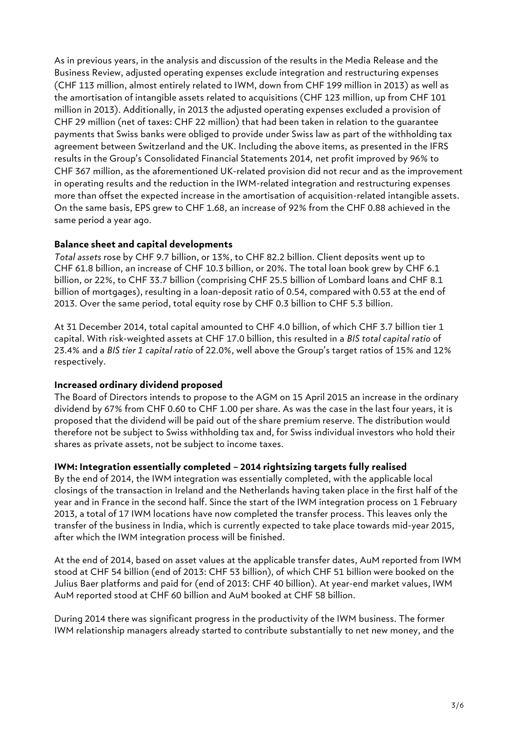As in previous years, in the analysis and discussion of the results in the Media Release and the Business Review, adjusted operating expenses exclude integration and restructuring expenses (CHF 113 million, almost entirely related to IWM, down from CHF 199 million in 2013) as well as the amortisation of intangible assets related to acquisitions (CHF 123 million, up from CHF 101 million in 2013). Additionally, in 2013 the adjusted operating expenses excluded a provision of CHF 29 million (net of taxes: CHF 22 million) that had been taken in relation to the guarantee payments that Swiss banks were obliged to provide under Swiss law as part of the withholding tax agreement between Switzerland and the UK. Including the above items, as presented in the IFRS results in the Group's Consolidated Financial Statements 2014, net profit improved by 96% to CHF 367 million, as the aforementioned UK-related provision did not recur and as the improvement in operating results and the reduction in the IWM-related integration and restructuring expenses more than offset the expected increase in the amortisation of acquisition-related intangible assets. On the same basis, EPS grew to CHF 1.68, an increase of 92% from the CHF 0.88 achieved in the same period a year ago.

#### **Balance sheet and capital developments**

*Total assets* rose by CHF 9.7 billion, or 13%, to CHF 82.2 billion. Client deposits went up to CHF 61.8 billion, an increase of CHF 10.3 billion, or 20%. The total loan book grew by CHF 6.1 billion, or 22%, to CHF 33.7 billion (comprising CHF 25.5 billion of Lombard loans and CHF 8.1 billion of mortgages), resulting in a loan-deposit ratio of 0.54, compared with 0.53 at the end of 2013. Over the same period, total equity rose by CHF 0.3 billion to CHF 5.3 billion.

At 31 December 2014, total capital amounted to CHF 4.0 billion, of which CHF 3.7 billion tier 1 capital. With risk-weighted assets at CHF 17.0 billion, this resulted in a *BIS total capital ratio* of 23.4% and a *BIS tier 1 capital ratio* of 22.0%, well above the Group's target ratios of 15% and 12% respectively.

#### **Increased ordinary dividend proposed**

The Board of Directors intends to propose to the AGM on 15 April 2015 an increase in the ordinary dividend by 67% from CHF 0.60 to CHF 1.00 per share. As was the case in the last four years, it is proposed that the dividend will be paid out of the share premium reserve. The distribution would therefore not be subject to Swiss withholding tax and, for Swiss individual investors who hold their shares as private assets, not be subject to income taxes.

#### **IWM: Integration essentially completed – 2014 rightsizing targets fully realised**

By the end of 2014, the IWM integration was essentially completed, with the applicable local closings of the transaction in Ireland and the Netherlands having taken place in the first half of the year and in France in the second half. Since the start of the IWM integration process on 1 February 2013, a total of 17 IWM locations have now completed the transfer process. This leaves only the transfer of the business in India, which is currently expected to take place towards mid-year 2015, after which the IWM integration process will be finished.

At the end of 2014, based on asset values at the applicable transfer dates, AuM reported from IWM stood at CHF 54 billion (end of 2013: CHF 53 billion), of which CHF 51 billion were booked on the Julius Baer platforms and paid for (end of 2013: CHF 40 billion). At year-end market values, IWM AuM reported stood at CHF 60 billion and AuM booked at CHF 58 billion.

During 2014 there was significant progress in the productivity of the IWM business. The former IWM relationship managers already started to contribute substantially to net new money, and the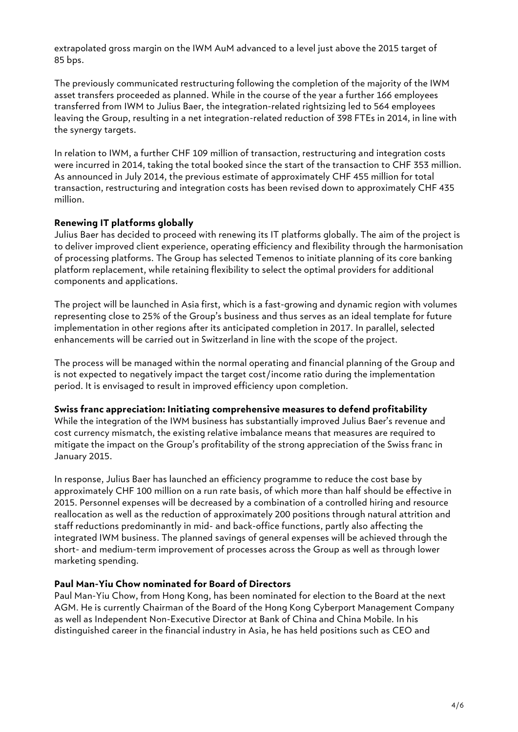extrapolated gross margin on the IWM AuM advanced to a level just above the 2015 target of 85 bps.

The previously communicated restructuring following the completion of the majority of the IWM asset transfers proceeded as planned. While in the course of the year a further 166 employees transferred from IWM to Julius Baer, the integration-related rightsizing led to 564 employees leaving the Group, resulting in a net integration-related reduction of 398 FTEs in 2014, in line with the synergy targets.

In relation to IWM, a further CHF 109 million of transaction, restructuring and integration costs were incurred in 2014, taking the total booked since the start of the transaction to CHF 353 million. As announced in July 2014, the previous estimate of approximately CHF 455 million for total transaction, restructuring and integration costs has been revised down to approximately CHF 435 million.

#### **Renewing IT platforms globally**

Julius Baer has decided to proceed with renewing its IT platforms globally. The aim of the project is to deliver improved client experience, operating efficiency and flexibility through the harmonisation of processing platforms. The Group has selected Temenos to initiate planning of its core banking platform replacement, while retaining flexibility to select the optimal providers for additional components and applications.

The project will be launched in Asia first, which is a fast-growing and dynamic region with volumes representing close to 25% of the Group's business and thus serves as an ideal template for future implementation in other regions after its anticipated completion in 2017. In parallel, selected enhancements will be carried out in Switzerland in line with the scope of the project.

The process will be managed within the normal operating and financial planning of the Group and is not expected to negatively impact the target cost/income ratio during the implementation period. It is envisaged to result in improved efficiency upon completion.

#### **Swiss franc appreciation: Initiating comprehensive measures to defend profitability**

While the integration of the IWM business has substantially improved Julius Baer's revenue and cost currency mismatch, the existing relative imbalance means that measures are required to mitigate the impact on the Group's profitability of the strong appreciation of the Swiss franc in January 2015.

In response, Julius Baer has launched an efficiency programme to reduce the cost base by approximately CHF 100 million on a run rate basis, of which more than half should be effective in 2015. Personnel expenses will be decreased by a combination of a controlled hiring and resource reallocation as well as the reduction of approximately 200 positions through natural attrition and staff reductions predominantly in mid- and back-office functions, partly also affecting the integrated IWM business. The planned savings of general expenses will be achieved through the short- and medium-term improvement of processes across the Group as well as through lower marketing spending.

#### **Paul Man-Yiu Chow nominated for Board of Directors**

Paul Man-Yiu Chow, from Hong Kong, has been nominated for election to the Board at the next AGM. He is currently Chairman of the Board of the Hong Kong Cyberport Management Company as well as Independent Non-Executive Director at Bank of China and China Mobile. In his distinguished career in the financial industry in Asia, he has held positions such as CEO and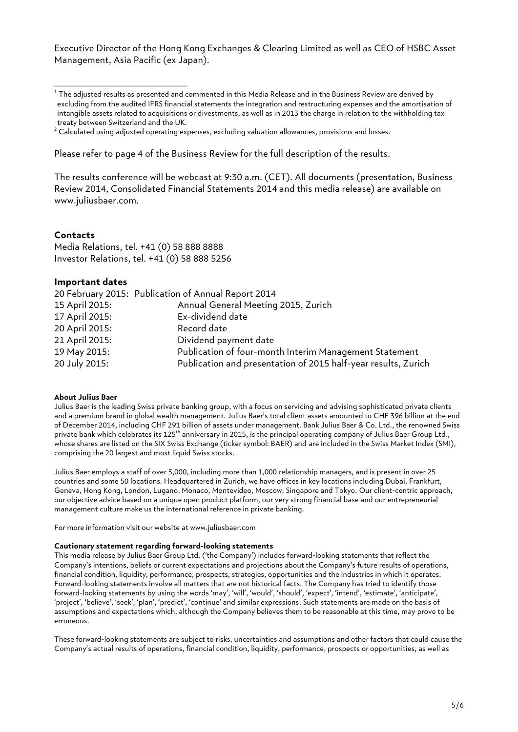Executive Director of the Hong Kong Exchanges & Clearing Limited as well as CEO of HSBC Asset Management, Asia Pacific (ex Japan).

Please refer to page 4 of the Business Review for the full description of the results.

The results conference will be webcast at 9:30 a.m. (CET). All documents (presentation, Business Review 2014, Consolidated Financial Statements 2014 and this media release) are available on www.juliusbaer.com.

#### **Contacts**

Media Relations, tel. +41 (0) 58 888 8888 Investor Relations, tel. +41 (0) 58 888 5256

\_\_\_\_\_\_\_\_\_\_\_\_\_\_\_\_\_\_\_\_\_\_\_\_\_\_

#### **Important dates**

|                | 20 February 2015: Publication of Annual Report 2014            |
|----------------|----------------------------------------------------------------|
| 15 April 2015: | Annual General Meeting 2015, Zurich                            |
| 17 April 2015: | Ex-dividend date                                               |
| 20 April 2015: | Record date                                                    |
| 21 April 2015: | Dividend payment date                                          |
| 19 May 2015:   | Publication of four-month Interim Management Statement         |
| 20 July 2015:  | Publication and presentation of 2015 half-year results, Zurich |

#### **About Julius Baer**

Julius Baer is the leading Swiss private banking group, with a focus on servicing and advising sophisticated private clients and a premium brand in global wealth management. Julius Baer's total client assets amounted to CHF 396 billion at the end of December 2014, including CHF 291 billion of assets under management. Bank Julius Baer & Co. Ltd., the renowned Swiss private bank which celebrates its 125<sup>th</sup> anniversary in 2015, is the principal operating company of Julius Baer Group Ltd., whose shares are listed on the SIX Swiss Exchange (ticker symbol: BAER) and are included in the Swiss Market Index (SMI), comprising the 20 largest and most liquid Swiss stocks.

Julius Baer employs a staff of over 5,000, including more than 1,000 relationship managers, and is present in over 25 countries and some 50 locations. Headquartered in Zurich, we have offices in key locations including Dubai, Frankfurt, Geneva, Hong Kong, London, Lugano, Monaco, Montevideo, Moscow, Singapore and Tokyo. Our client-centric approach, our objective advice based on a unique open product platform, our very strong financial base and our entrepreneurial management culture make us the international reference in private banking.

For more information visit our website at www.juliusbaer.com

#### **Cautionary statement regarding forward-looking statements**

This media release by Julius Baer Group Ltd. ('the Company') includes forward-looking statements that reflect the Company's intentions, beliefs or current expectations and projections about the Company's future results of operations, financial condition, liquidity, performance, prospects, strategies, opportunities and the industries in which it operates. Forward-looking statements involve all matters that are not historical facts. The Company has tried to identify those forward-looking statements by using the words 'may', 'will', 'would', 'should', 'expect', 'intend', 'estimate', 'anticipate', 'project', 'believe', 'seek', 'plan', 'predict', 'continue' and similar expressions. Such statements are made on the basis of assumptions and expectations which, although the Company believes them to be reasonable at this time, may prove to be erroneous.

These forward-looking statements are subject to risks, uncertainties and assumptions and other factors that could cause the Company's actual results of operations, financial condition, liquidity, performance, prospects or opportunities, as well as

 $1$  The adjusted results as presented and commented in this Media Release and in the Business Review are derived by excluding from the audited IFRS financial statements the integration and restructuring expenses and the amortisation of intangible assets related to acquisitions or divestments, as well as in 2013 the charge in relation to the withholding tax treaty between Switzerland and the UK.

 $2$  Calculated using adjusted operating expenses, excluding valuation allowances, provisions and losses.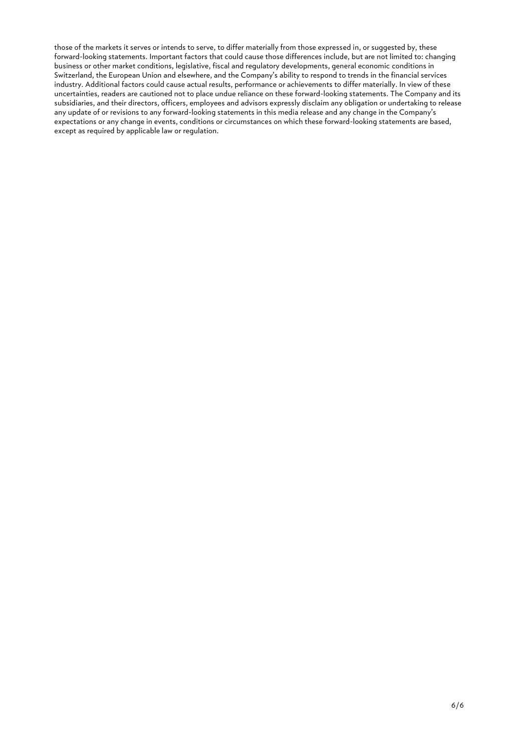those of the markets it serves or intends to serve, to differ materially from those expressed in, or suggested by, these forward-looking statements. Important factors that could cause those differences include, but are not limited to: changing business or other market conditions, legislative, fiscal and regulatory developments, general economic conditions in Switzerland, the European Union and elsewhere, and the Company's ability to respond to trends in the financial services industry. Additional factors could cause actual results, performance or achievements to differ materially. In view of these uncertainties, readers are cautioned not to place undue reliance on these forward-looking statements. The Company and its subsidiaries, and their directors, officers, employees and advisors expressly disclaim any obligation or undertaking to release any update of or revisions to any forward-looking statements in this media release and any change in the Company's expectations or any change in events, conditions or circumstances on which these forward-looking statements are based, except as required by applicable law or regulation.